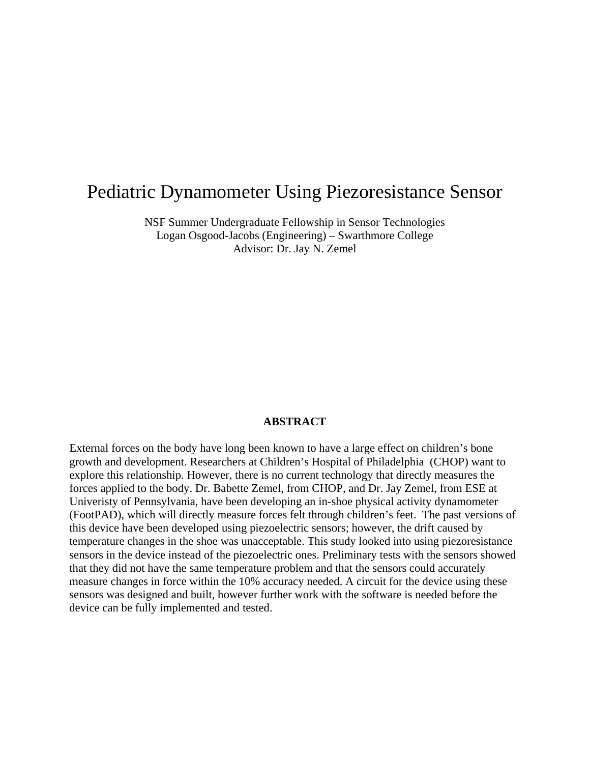# Pediatric Dynamometer Using Piezoresistance Sensor

NSF Summer Undergraduate Fellowship in Sensor Technologies Logan Osgood-Jacobs (Engineering) – Swarthmore College Advisor: Dr. Jay N. Zemel

#### **ABSTRACT**

External forces on the body have long been known to have a large effect on children's bone growth and development. Researchers at Children's Hospital of Philadelphia (CHOP) want to explore this relationship. However, there is no current technology that directly measures the forces applied to the body. Dr. Babette Zemel, from CHOP, and Dr. Jay Zemel, from ESE at Univeristy of Pennsylvania, have been developing an in-shoe physical activity dynamometer (FootPAD), which will directly measure forces felt through children's feet. The past versions of this device have been developed using piezoelectric sensors; however, the drift caused by temperature changes in the shoe was unacceptable. This study looked into using piezoresistance sensors in the device instead of the piezoelectric ones. Preliminary tests with the sensors showed that they did not have the same temperature problem and that the sensors could accurately measure changes in force within the 10% accuracy needed. A circuit for the device using these sensors was designed and built, however further work with the software is needed before the device can be fully implemented and tested.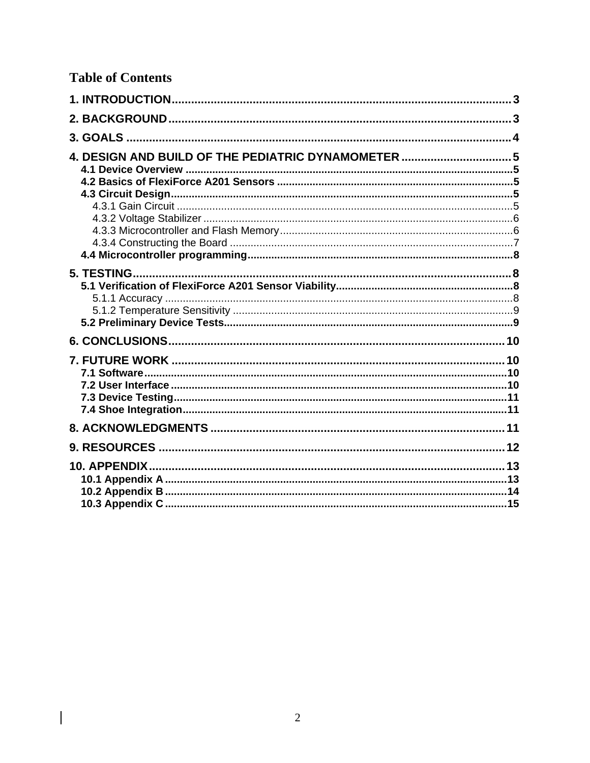## **Table of Contents**

 $\overline{\phantom{a}}$ 

| 4. DESIGN AND BUILD OF THE PEDIATRIC DYNAMOMETER  5 |  |
|-----------------------------------------------------|--|
|                                                     |  |
|                                                     |  |
|                                                     |  |
|                                                     |  |
|                                                     |  |
|                                                     |  |
|                                                     |  |
|                                                     |  |
|                                                     |  |
|                                                     |  |
|                                                     |  |
|                                                     |  |
|                                                     |  |
|                                                     |  |
|                                                     |  |
|                                                     |  |
|                                                     |  |
|                                                     |  |
|                                                     |  |
|                                                     |  |
|                                                     |  |
|                                                     |  |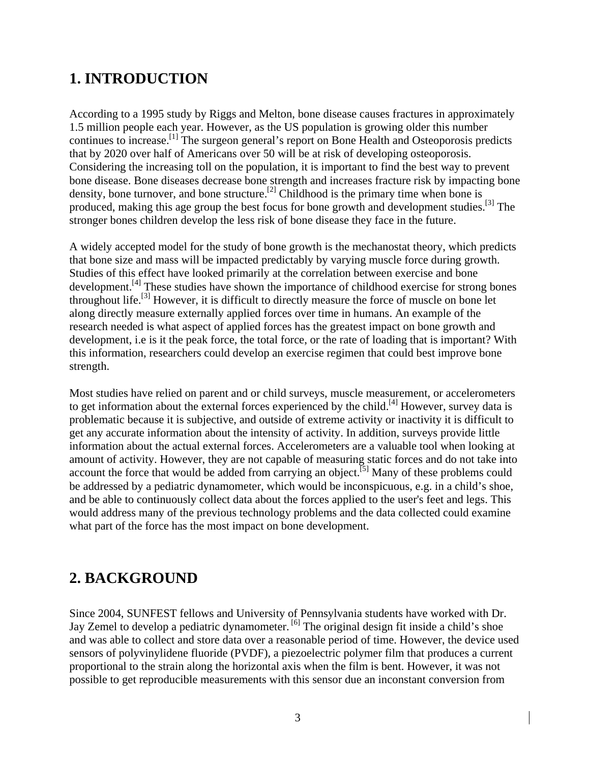## **1. INTRODUCTION**

According to a 1995 study by Riggs and Melton, bone disease causes fractures in approximately 1.5 million people each year. However, as the US population is growing older this number continues to increase.[1] The surgeon general's report on Bone Health and Osteoporosis predicts that by 2020 over half of Americans over 50 will be at risk of developing osteoporosis. Considering the increasing toll on the population, it is important to find the best way to prevent bone disease. Bone diseases decrease bone strength and increases fracture risk by impacting bone density, bone turnover, and bone structure.<sup>[2]</sup> Childhood is the primary time when bone is produced, making this age group the best focus for bone growth and development studies.<sup>[3]</sup> The stronger bones children develop the less risk of bone disease they face in the future.

A widely accepted model for the study of bone growth is the mechanostat theory, which predicts that bone size and mass will be impacted predictably by varying muscle force during growth. Studies of this effect have looked primarily at the correlation between exercise and bone development.<sup>[4]</sup> These studies have shown the importance of childhood exercise for strong bones throughout life.[3] However, it is difficult to directly measure the force of muscle on bone let along directly measure externally applied forces over time in humans. An example of the research needed is what aspect of applied forces has the greatest impact on bone growth and development, i.e is it the peak force, the total force, or the rate of loading that is important? With this information, researchers could develop an exercise regimen that could best improve bone strength.

Most studies have relied on parent and or child surveys, muscle measurement, or accelerometers to get information about the external forces experienced by the child.<sup>[4]</sup> However, survey data is problematic because it is subjective, and outside of extreme activity or inactivity it is difficult to get any accurate information about the intensity of activity. In addition, surveys provide little information about the actual external forces. Accelerometers are a valuable tool when looking at amount of activity. However, they are not capable of measuring static forces and do not take into account the force that would be added from carrying an object.<sup>[5]</sup> Many of these problems could be addressed by a pediatric dynamometer, which would be inconspicuous, e.g. in a child's shoe, and be able to continuously collect data about the forces applied to the user's feet and legs. This would address many of the previous technology problems and the data collected could examine what part of the force has the most impact on bone development.

## **2. BACKGROUND**

Since 2004, SUNFEST fellows and University of Pennsylvania students have worked with Dr. Jay Zemel to develop a pediatric dynamometer.<sup>[6]</sup> The original design fit inside a child's shoe and was able to collect and store data over a reasonable period of time. However, the device used sensors of polyvinylidene fluoride (PVDF), a piezoelectric polymer film that produces a current proportional to the strain along the horizontal axis when the film is bent. However, it was not possible to get reproducible measurements with this sensor due an inconstant conversion from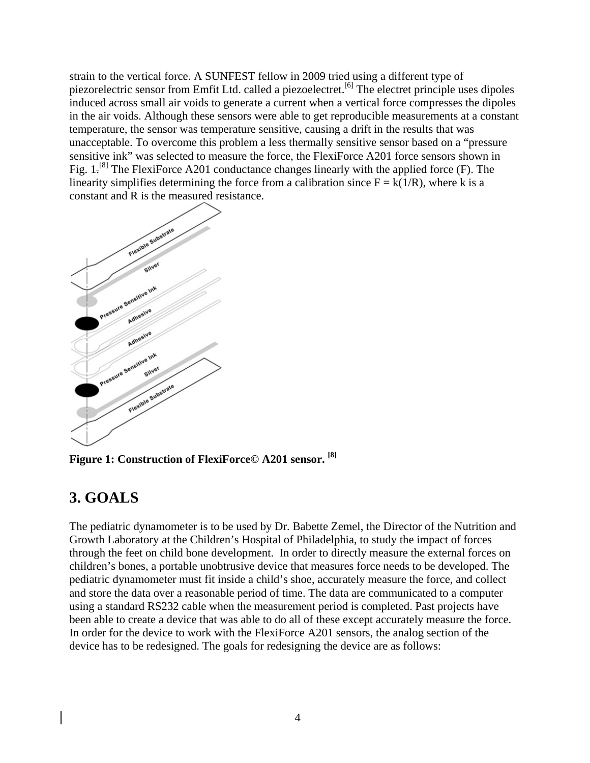strain to the vertical force. A SUNFEST fellow in 2009 tried using a different type of piezorelectric sensor from Emfit Ltd. called a piezoelectret.[6] The electret principle uses dipoles induced across small air voids to generate a current when a vertical force compresses the dipoles in the air voids. Although these sensors were able to get reproducible measurements at a constant temperature, the sensor was temperature sensitive, causing a drift in the results that was unacceptable. To overcome this problem a less thermally sensitive sensor based on a "pressure sensitive ink" was selected to measure the force, the FlexiForce A201 force sensors shown in Fig. 1.<sup>[8]</sup> The FlexiForce A201 conductance changes linearly with the applied force (F). The linearity simplifies determining the force from a calibration since  $F = k(1/R)$ , where k is a constant and R is the measured resistance.



**Figure 1: Construction of FlexiForce© A201 sensor. [8]** 

# **3. GOALS**

The pediatric dynamometer is to be used by Dr. Babette Zemel, the Director of the Nutrition and Growth Laboratory at the Children's Hospital of Philadelphia, to study the impact of forces through the feet on child bone development. In order to directly measure the external forces on children's bones, a portable unobtrusive device that measures force needs to be developed. The pediatric dynamometer must fit inside a child's shoe, accurately measure the force, and collect and store the data over a reasonable period of time. The data are communicated to a computer using a standard RS232 cable when the measurement period is completed. Past projects have been able to create a device that was able to do all of these except accurately measure the force. In order for the device to work with the FlexiForce A201 sensors, the analog section of the device has to be redesigned. The goals for redesigning the device are as follows: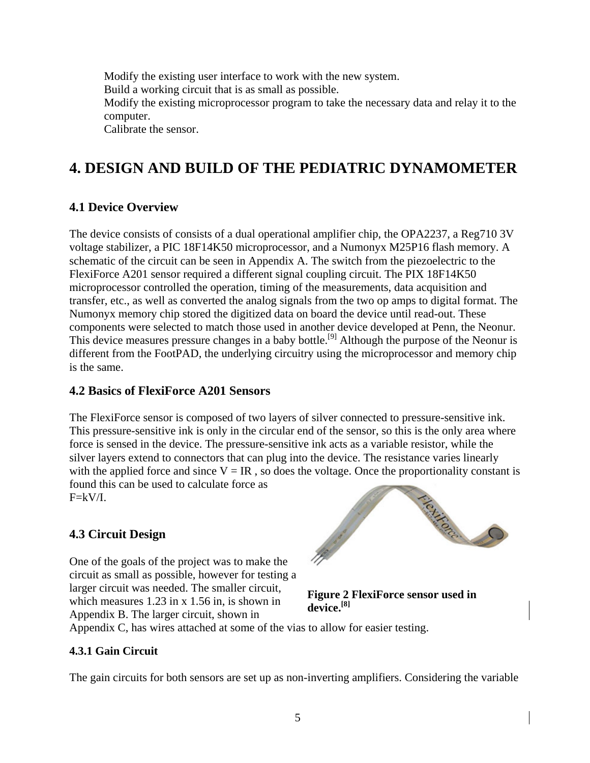Modify the existing user interface to work with the new system. Build a working circuit that is as small as possible. Modify the existing microprocessor program to take the necessary data and relay it to the computer. Calibrate the sensor.

# **4. DESIGN AND BUILD OF THE PEDIATRIC DYNAMOMETER**

#### **4.1 Device Overview**

The device consists of consists of a dual operational amplifier chip, the OPA2237, a Reg710 3V voltage stabilizer, a PIC 18F14K50 microprocessor, and a Numonyx M25P16 flash memory. A schematic of the circuit can be seen in Appendix A. The switch from the piezoelectric to the FlexiForce A201 sensor required a different signal coupling circuit. The PIX 18F14K50 microprocessor controlled the operation, timing of the measurements, data acquisition and transfer, etc., as well as converted the analog signals from the two op amps to digital format. The Numonyx memory chip stored the digitized data on board the device until read-out. These components were selected to match those used in another device developed at Penn, the Neonur. This device measures pressure changes in a baby bottle.<sup>[9]</sup> Although the purpose of the Neonur is different from the FootPAD, the underlying circuitry using the microprocessor and memory chip is the same.

#### **4.2 Basics of FlexiForce A201 Sensors**

The FlexiForce sensor is composed of two layers of silver connected to pressure-sensitive ink. This pressure-sensitive ink is only in the circular end of the sensor, so this is the only area where force is sensed in the device. The pressure-sensitive ink acts as a variable resistor, while the silver layers extend to connectors that can plug into the device. The resistance varies linearly with the applied force and since  $V = IR$ , so does the voltage. Once the proportionality constant is found this can be used to calculate force as  $F=kV/I$ .

#### **4.3 Circuit Design**

One of the goals of the project was to make the circuit as small as possible, however for testing a larger circuit was needed. The smaller circuit, which measures 1.23 in x 1.56 in, is shown in Appendix B. The larger circuit, shown in



**Figure 2 FlexiForce sensor used in device.[8]**

Appendix C, has wires attached at some of the vias to allow for easier testing.

#### **4.3.1 Gain Circuit**

The gain circuits for both sensors are set up as non-inverting amplifiers. Considering the variable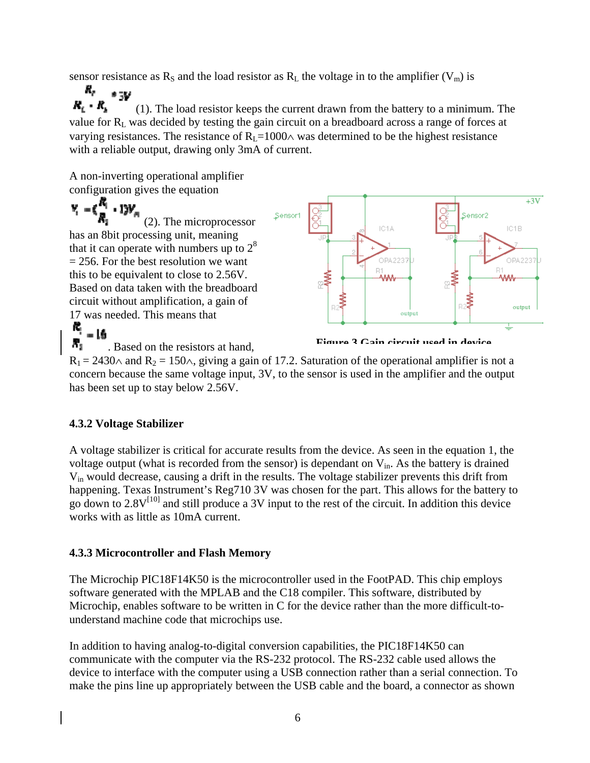sensor resistance as  $R_S$  and the load resistor as  $R_L$  the voltage in to the amplifier ( $V_m$ ) is

я, e qu  $R_t$  -  $R_s$  (1). The load resistor keeps the current drawn from the battery to a minimum. The value for R<sub>L</sub> was decided by testing the gain circuit on a breadboard across a range of forces at varying resistances. The resistance of  $R_L=1000\wedge$  was determined to be the highest resistance with a reliable output, drawing only 3mA of current.

A non-inverting operational amplifier configuration gives the equation

 $Y_i = ($  $\frac{R_i}{n}$  + 13V<sub>m</sub> Sensor Sensor2 (2). The microprocessor IC1A has an 8bit processing unit, meaning that it can operate with numbers up to  $2<sup>8</sup>$  $= 256$ . For the best resolution we want OPA223 B1 this to be equivalent to close to 2.56V. **AAA** Based on data taken with the breadboard circuit without amplification, a gain of 17 was needed. This means that output ĸ,  $-16$ 

л, . Based on the resistors at hand,

**Figure 3 Gain circuit used in device**

 $+3V$ 

IC1B

**OPA223** 

output

ww

╧

 $R_1 = 2430 \wedge$  and  $R_2 = 150 \wedge$ , giving a gain of 17.2. Saturation of the operational amplifier is not a concern because the same voltage input, 3V, to the sensor is used in the amplifier and the output has been set up to stay below 2.56V.

#### **4.3.2 Voltage Stabilizer**

A voltage stabilizer is critical for accurate results from the device. As seen in the equation 1, the voltage output (what is recorded from the sensor) is dependant on  $V_{in}$ . As the battery is drained Vin would decrease, causing a drift in the results. The voltage stabilizer prevents this drift from happening. Texas Instrument's Reg710 3V was chosen for the part. This allows for the battery to go down to  $2.8V^{[10]}$  and still produce a 3V input to the rest of the circuit. In addition this device works with as little as 10mA current.

#### **4.3.3 Microcontroller and Flash Memory**

The Microchip PIC18F14K50 is the microcontroller used in the FootPAD. This chip employs software generated with the MPLAB and the C18 compiler. This software, distributed by Microchip, enables software to be written in C for the device rather than the more difficult-tounderstand machine code that microchips use.

In addition to having analog-to-digital conversion capabilities, the PIC18F14K50 can communicate with the computer via the RS-232 protocol. The RS-232 cable used allows the device to interface with the computer using a USB connection rather than a serial connection. To make the pins line up appropriately between the USB cable and the board, a connector as shown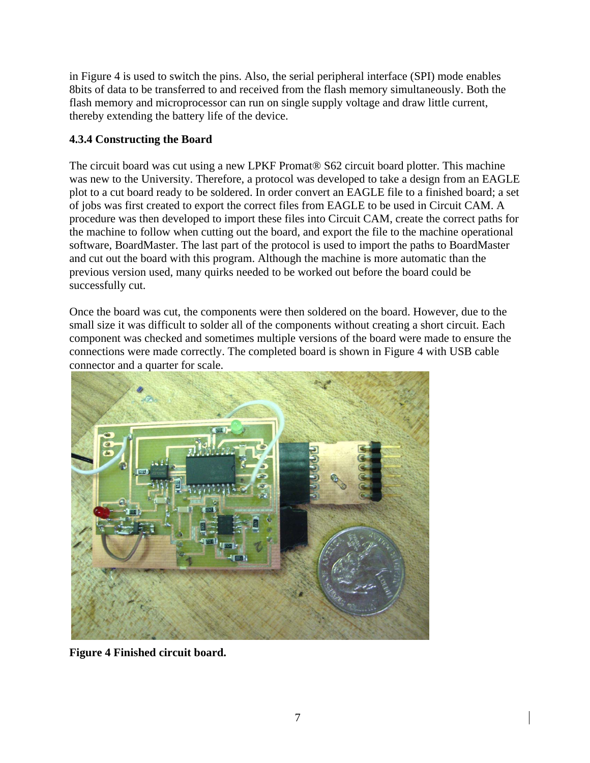in Figure 4 is used to switch the pins. Also, the serial peripheral interface (SPI) mode enables 8bits of data to be transferred to and received from the flash memory simultaneously. Both the flash memory and microprocessor can run on single supply voltage and draw little current, thereby extending the battery life of the device.

#### **4.3.4 Constructing the Board**

The circuit board was cut using a new LPKF Promat® S62 circuit board plotter. This machine was new to the University. Therefore, a protocol was developed to take a design from an EAGLE plot to a cut board ready to be soldered. In order convert an EAGLE file to a finished board; a set of jobs was first created to export the correct files from EAGLE to be used in Circuit CAM. A procedure was then developed to import these files into Circuit CAM, create the correct paths for the machine to follow when cutting out the board, and export the file to the machine operational software, BoardMaster. The last part of the protocol is used to import the paths to BoardMaster and cut out the board with this program. Although the machine is more automatic than the previous version used, many quirks needed to be worked out before the board could be successfully cut.

Once the board was cut, the components were then soldered on the board. However, due to the small size it was difficult to solder all of the components without creating a short circuit. Each component was checked and sometimes multiple versions of the board were made to ensure the connections were made correctly. The completed board is shown in Figure 4 with USB cable connector and a quarter for scale.



**Figure 4 Finished circuit board.**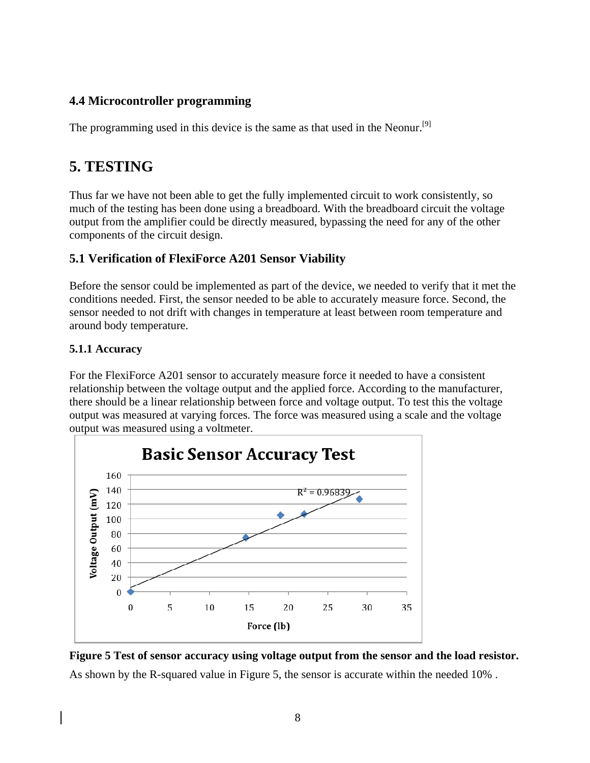### **4.4 Microcontroller programming**

The programming used in this device is the same as that used in the Neonur.<sup>[9]</sup>

## **5. TESTING**

Thus far we have not been able to get the fully implemented circuit to work consistently, so much of the testing has been done using a breadboard. With the breadboard circuit the voltage output from the amplifier could be directly measured, bypassing the need for any of the other components of the circuit design.

### **5.1 Verification of FlexiForce A201 Sensor Viability**

Before the sensor could be implemented as part of the device, we needed to verify that it met the conditions needed. First, the sensor needed to be able to accurately measure force. Second, the sensor needed to not drift with changes in temperature at least between room temperature and around body temperature.

#### **5.1.1 Accuracy**

For the FlexiForce A201 sensor to accurately measure force it needed to have a consistent relationship between the voltage output and the applied force. According to the manufacturer, there should be a linear relationship between force and voltage output. To test this the voltage output was measured at varying forces. The force was measured using a scale and the voltage output was measured using a voltmeter.





As shown by the R-squared value in Figure 5, the sensor is accurate within the needed 10% .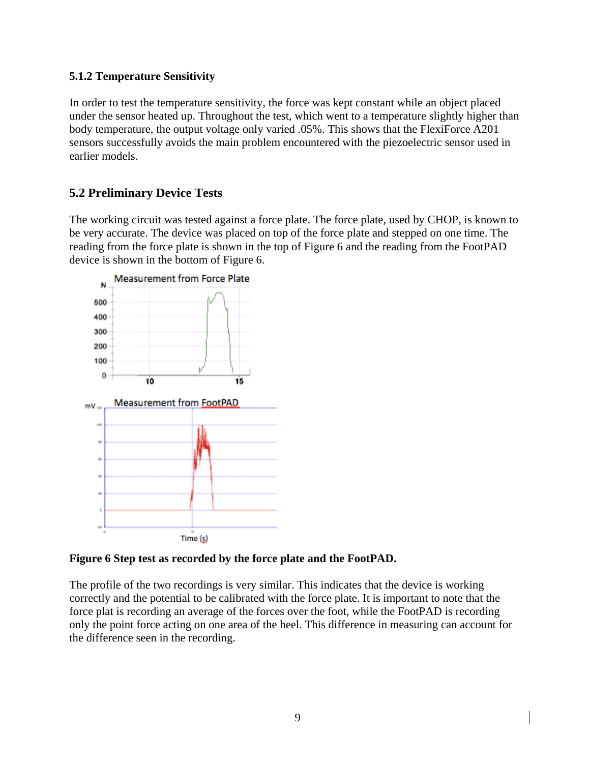#### **5.1.2 Temperature Sensitivity**

In order to test the temperature sensitivity, the force was kept constant while an object placed under the sensor heated up. Throughout the test, which went to a temperature slightly higher than body temperature, the output voltage only varied .05%. This shows that the FlexiForce A201 sensors successfully avoids the main problem encountered with the piezoelectric sensor used in earlier models.

### **5.2 Preliminary Device Tests**

The working circuit was tested against a force plate. The force plate, used by CHOP, is known to be very accurate. The device was placed on top of the force plate and stepped on one time. The reading from the force plate is shown in the top of Figure 6 and the reading from the FootPAD device is shown in the bottom of Figure 6.



**Figure 6 Step test as recorded by the force plate and the FootPAD.** 

The profile of the two recordings is very similar. This indicates that the device is working correctly and the potential to be calibrated with the force plate. It is important to note that the force plat is recording an average of the forces over the foot, while the FootPAD is recording only the point force acting on one area of the heel. This difference in measuring can account for the difference seen in the recording.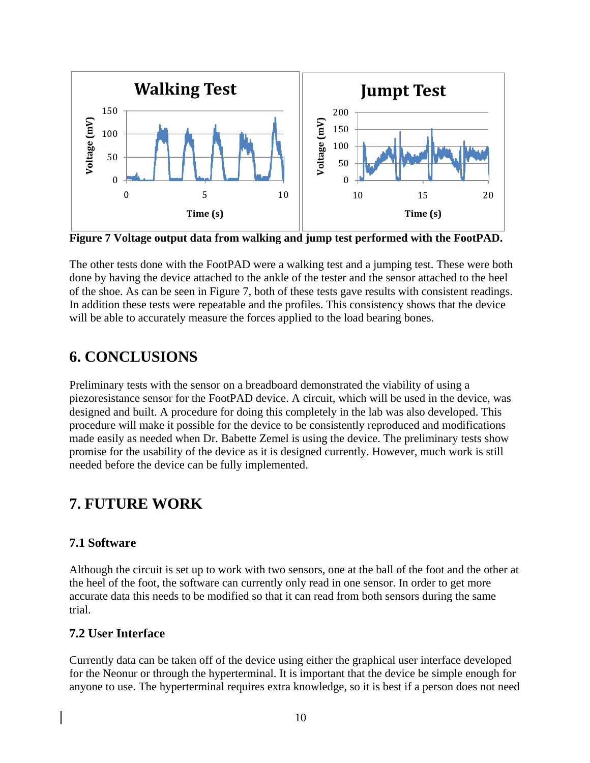

**Figure 7 Voltage output data from walking and jump test performed with the FootPAD.** 

The other tests done with the FootPAD were a walking test and a jumping test. These were both done by having the device attached to the ankle of the tester and the sensor attached to the heel of the shoe. As can be seen in Figure 7, both of these tests gave results with consistent readings. In addition these tests were repeatable and the profiles. This consistency shows that the device will be able to accurately measure the forces applied to the load bearing bones.

## **6. CONCLUSIONS**

Preliminary tests with the sensor on a breadboard demonstrated the viability of using a piezoresistance sensor for the FootPAD device. A circuit, which will be used in the device, was designed and built. A procedure for doing this completely in the lab was also developed. This procedure will make it possible for the device to be consistently reproduced and modifications made easily as needed when Dr. Babette Zemel is using the device. The preliminary tests show promise for the usability of the device as it is designed currently. However, much work is still needed before the device can be fully implemented.

## **7. FUTURE WORK**

#### **7.1 Software**

Although the circuit is set up to work with two sensors, one at the ball of the foot and the other at the heel of the foot, the software can currently only read in one sensor. In order to get more accurate data this needs to be modified so that it can read from both sensors during the same trial.

#### **7.2 User Interface**

Currently data can be taken off of the device using either the graphical user interface developed for the Neonur or through the hyperterminal. It is important that the device be simple enough for anyone to use. The hyperterminal requires extra knowledge, so it is best if a person does not need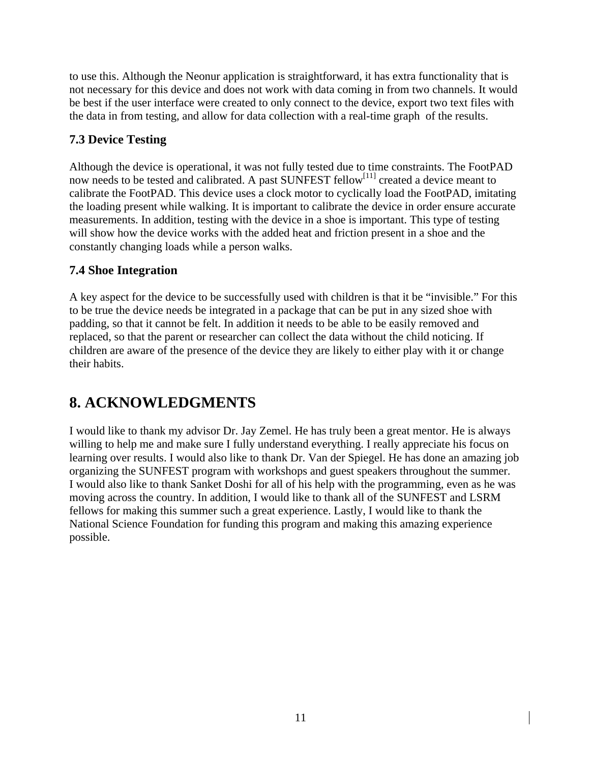to use this. Although the Neonur application is straightforward, it has extra functionality that is not necessary for this device and does not work with data coming in from two channels. It would be best if the user interface were created to only connect to the device, export two text files with the data in from testing, and allow for data collection with a real-time graph of the results.

### **7.3 Device Testing**

Although the device is operational, it was not fully tested due to time constraints. The FootPAD now needs to be tested and calibrated. A past SUNFEST fellow<sup>[11]</sup> created a device meant to calibrate the FootPAD. This device uses a clock motor to cyclically load the FootPAD, imitating the loading present while walking. It is important to calibrate the device in order ensure accurate measurements. In addition, testing with the device in a shoe is important. This type of testing will show how the device works with the added heat and friction present in a shoe and the constantly changing loads while a person walks.

### **7.4 Shoe Integration**

A key aspect for the device to be successfully used with children is that it be "invisible." For this to be true the device needs be integrated in a package that can be put in any sized shoe with padding, so that it cannot be felt. In addition it needs to be able to be easily removed and replaced, so that the parent or researcher can collect the data without the child noticing. If children are aware of the presence of the device they are likely to either play with it or change their habits.

# **8. ACKNOWLEDGMENTS**

I would like to thank my advisor Dr. Jay Zemel. He has truly been a great mentor. He is always willing to help me and make sure I fully understand everything. I really appreciate his focus on learning over results. I would also like to thank Dr. Van der Spiegel. He has done an amazing job organizing the SUNFEST program with workshops and guest speakers throughout the summer. I would also like to thank Sanket Doshi for all of his help with the programming, even as he was moving across the country. In addition, I would like to thank all of the SUNFEST and LSRM fellows for making this summer such a great experience. Lastly, I would like to thank the National Science Foundation for funding this program and making this amazing experience possible.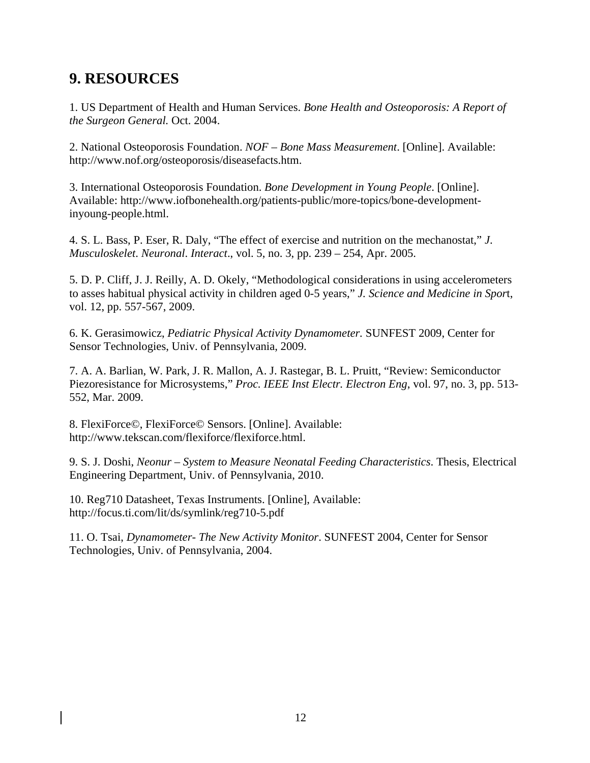## **9. RESOURCES**

1. US Department of Health and Human Services. *Bone Health and Osteoporosis: A Report of the Surgeon General.* Oct. 2004.

2. National Osteoporosis Foundation. *NOF – Bone Mass Measurement*. [Online]. Available: http://www.nof.org/osteoporosis/diseasefacts.htm.

3. International Osteoporosis Foundation. *Bone Development in Young People*. [Online]. Available: http://www.iofbonehealth.org/patients-public/more-topics/bone-developmentinyoung-people.html.

4. S. L. Bass, P. Eser, R. Daly, "The effect of exercise and nutrition on the mechanostat," *J*. *Musculoskelet*. *Neuronal*. *Interact*., vol. 5, no. 3, pp. 239 – 254, Apr. 2005.

5. D. P. Cliff, J. J. Reilly, A. D. Okely, "Methodological considerations in using accelerometers to asses habitual physical activity in children aged 0-5 years," *J. Science and Medicine in Spor*t, vol. 12, pp. 557-567, 2009.

6. K. Gerasimowicz, *Pediatric Physical Activity Dynamometer.* SUNFEST 2009, Center for Sensor Technologies, Univ. of Pennsylvania, 2009.

7. A. A. Barlian, W. Park, J. R. Mallon, A. J. Rastegar, B. L. Pruitt, "Review: Semiconductor Piezoresistance for Microsystems," *Proc. IEEE Inst Electr. Electron Eng*, vol. 97, no. 3, pp. 513- 552, Mar. 2009.

8. FlexiForce©, FlexiForce© Sensors. [Online]. Available: http://www.tekscan.com/flexiforce/flexiforce.html.

9. S. J. Doshi, *Neonur – System to Measure Neonatal Feeding Characteristics*. Thesis, Electrical Engineering Department, Univ. of Pennsylvania, 2010.

10. Reg710 Datasheet, Texas Instruments. [Online], Available: http://focus.ti.com/lit/ds/symlink/reg710-5.pdf

11. O. Tsai, *Dynamometer- The New Activity Monitor*. SUNFEST 2004, Center for Sensor Technologies, Univ. of Pennsylvania, 2004.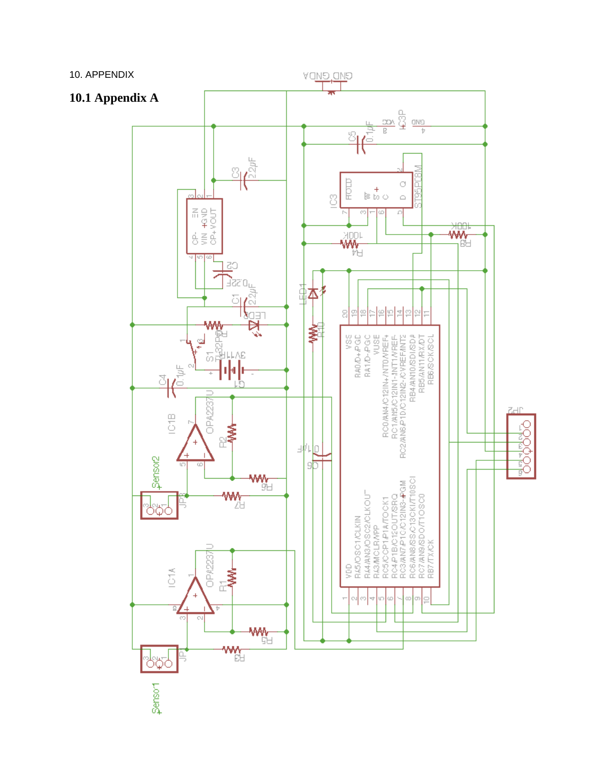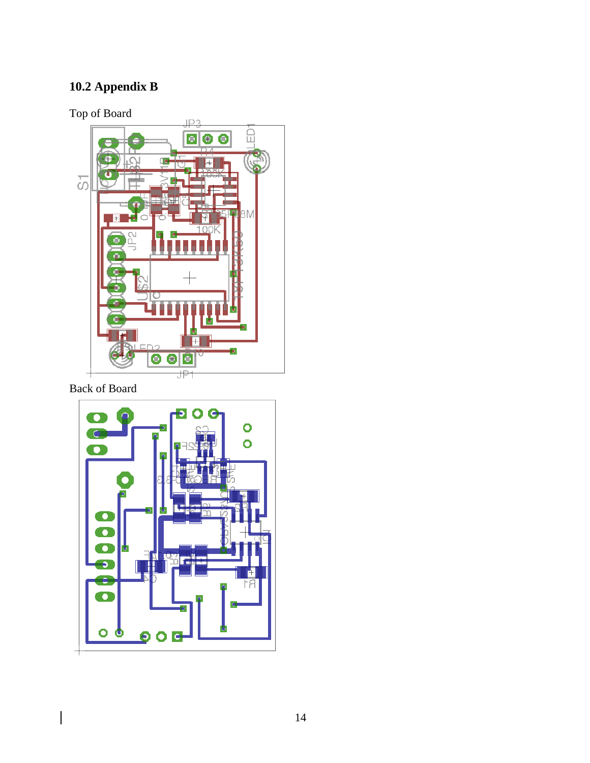# **10.2 Appendix B**

Top of Board



Back of Board

 $\overline{\phantom{a}}$